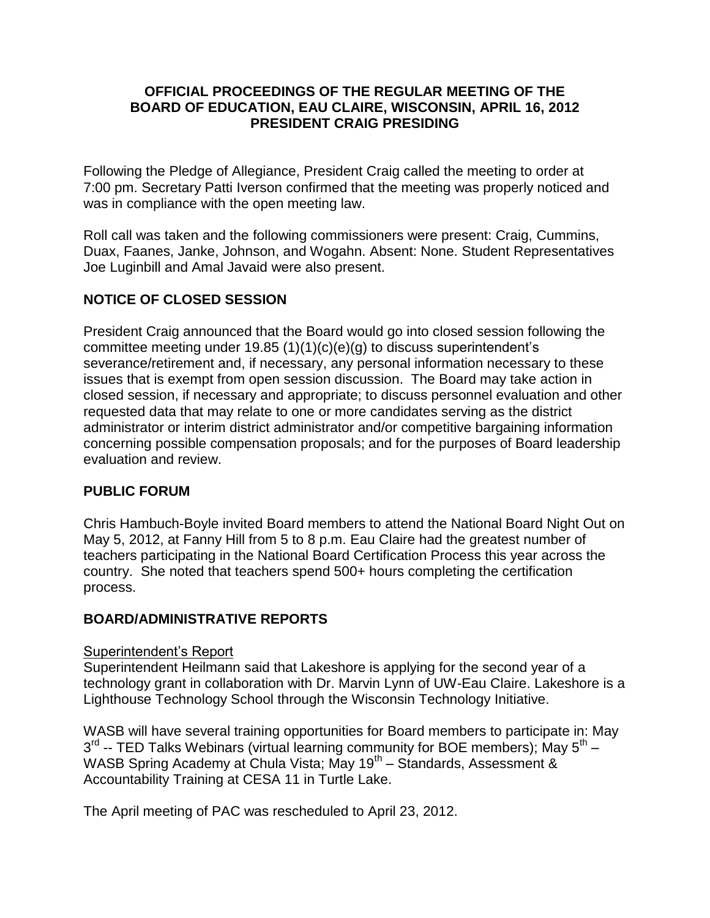## **OFFICIAL PROCEEDINGS OF THE REGULAR MEETING OF THE BOARD OF EDUCATION, EAU CLAIRE, WISCONSIN, APRIL 16, 2012 PRESIDENT CRAIG PRESIDING**

Following the Pledge of Allegiance, President Craig called the meeting to order at 7:00 pm. Secretary Patti Iverson confirmed that the meeting was properly noticed and was in compliance with the open meeting law.

Roll call was taken and the following commissioners were present: Craig, Cummins, Duax, Faanes, Janke, Johnson, and Wogahn. Absent: None. Student Representatives Joe Luginbill and Amal Javaid were also present.

# **NOTICE OF CLOSED SESSION**

President Craig announced that the Board would go into closed session following the committee meeting under 19.85 (1)(1)(c)(e)(g) to discuss superintendent's severance/retirement and, if necessary, any personal information necessary to these issues that is exempt from open session discussion. The Board may take action in closed session, if necessary and appropriate; to discuss personnel evaluation and other requested data that may relate to one or more candidates serving as the district administrator or interim district administrator and/or competitive bargaining information concerning possible compensation proposals; and for the purposes of Board leadership evaluation and review.

## **PUBLIC FORUM**

Chris Hambuch-Boyle invited Board members to attend the National Board Night Out on May 5, 2012, at Fanny Hill from 5 to 8 p.m. Eau Claire had the greatest number of teachers participating in the National Board Certification Process this year across the country. She noted that teachers spend 500+ hours completing the certification process.

## **BOARD/ADMINISTRATIVE REPORTS**

## Superintendent's Report

Superintendent Heilmann said that Lakeshore is applying for the second year of a technology grant in collaboration with Dr. Marvin Lynn of UW-Eau Claire. Lakeshore is a Lighthouse Technology School through the Wisconsin Technology Initiative.

WASB will have several training opportunities for Board members to participate in: May 3<sup>rd</sup> -- TED Talks Webinars (virtual learning community for BOE members); May 5<sup>th</sup> – WASB Spring Academy at Chula Vista; May 19<sup>th</sup> – Standards, Assessment & Accountability Training at CESA 11 in Turtle Lake.

The April meeting of PAC was rescheduled to April 23, 2012.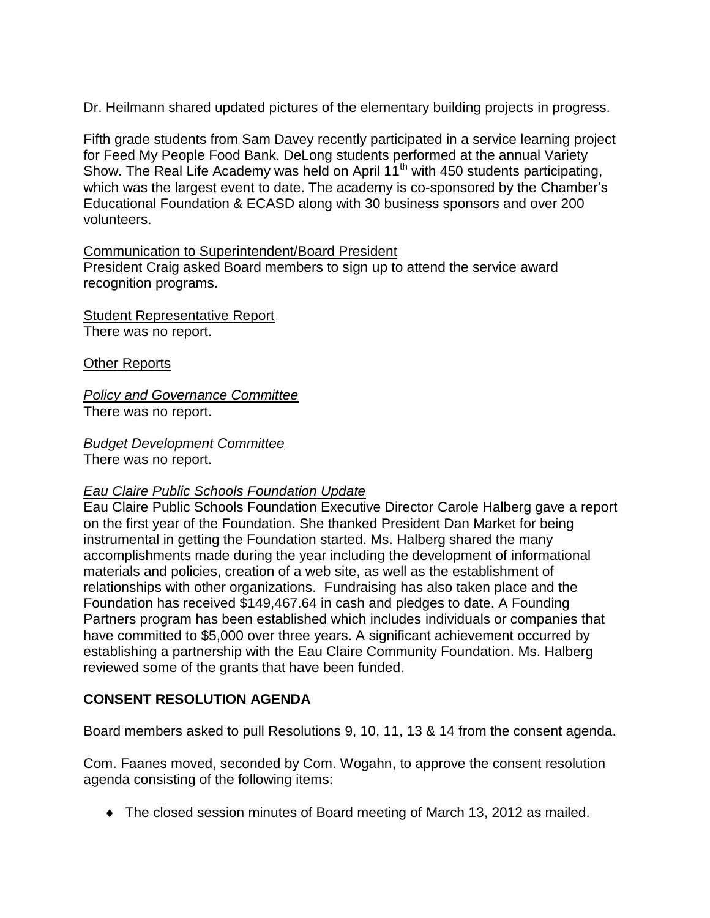Dr. Heilmann shared updated pictures of the elementary building projects in progress.

Fifth grade students from Sam Davey recently participated in a service learning project for Feed My People Food Bank. DeLong students performed at the annual Variety Show. The Real Life Academy was held on April 11<sup>th</sup> with 450 students participating, which was the largest event to date. The academy is co-sponsored by the Chamber's Educational Foundation & ECASD along with 30 business sponsors and over 200 volunteers.

## Communication to Superintendent/Board President

President Craig asked Board members to sign up to attend the service award recognition programs.

Student Representative Report There was no report.

Other Reports

*Policy and Governance Committee* There was no report.

*Budget Development Committee*

There was no report.

## *Eau Claire Public Schools Foundation Update*

Eau Claire Public Schools Foundation Executive Director Carole Halberg gave a report on the first year of the Foundation. She thanked President Dan Market for being instrumental in getting the Foundation started. Ms. Halberg shared the many accomplishments made during the year including the development of informational materials and policies, creation of a web site, as well as the establishment of relationships with other organizations. Fundraising has also taken place and the Foundation has received \$149,467.64 in cash and pledges to date. A Founding Partners program has been established which includes individuals or companies that have committed to \$5,000 over three years. A significant achievement occurred by establishing a partnership with the Eau Claire Community Foundation. Ms. Halberg reviewed some of the grants that have been funded.

## **CONSENT RESOLUTION AGENDA**

Board members asked to pull Resolutions 9, 10, 11, 13 & 14 from the consent agenda.

Com. Faanes moved, seconded by Com. Wogahn, to approve the consent resolution agenda consisting of the following items:

The closed session minutes of Board meeting of March 13, 2012 as mailed.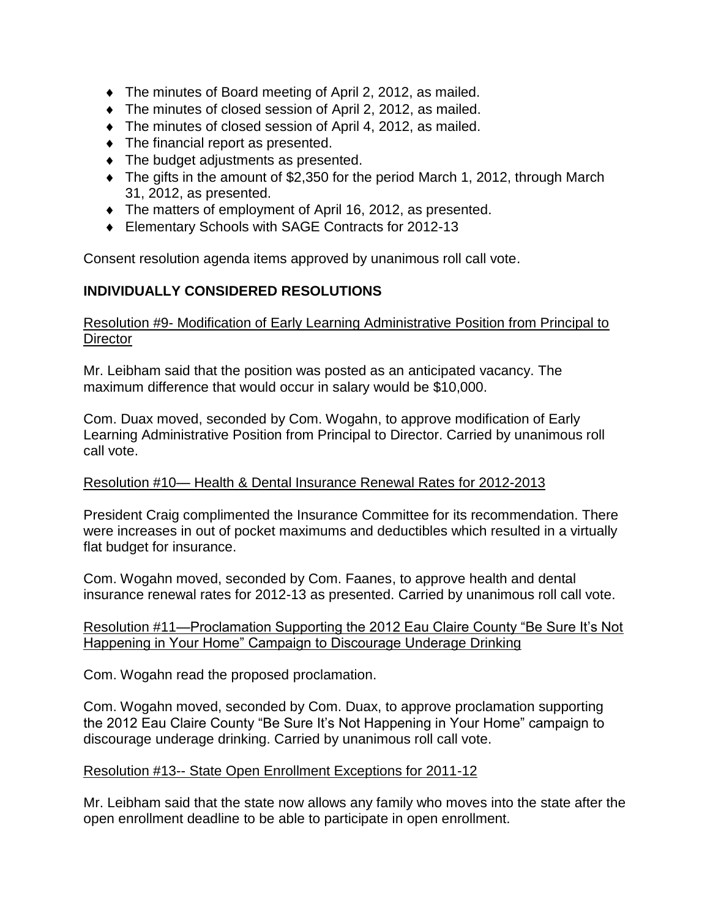- The minutes of Board meeting of April 2, 2012, as mailed.
- The minutes of closed session of April 2, 2012, as mailed.
- The minutes of closed session of April 4, 2012, as mailed.
- The financial report as presented.
- The budget adjustments as presented.
- The gifts in the amount of \$2,350 for the period March 1, 2012, through March 31, 2012, as presented.
- The matters of employment of April 16, 2012, as presented.
- Elementary Schools with SAGE Contracts for 2012-13

Consent resolution agenda items approved by unanimous roll call vote.

# **INDIVIDUALLY CONSIDERED RESOLUTIONS**

## Resolution #9- Modification of Early Learning Administrative Position from Principal to **Director**

Mr. Leibham said that the position was posted as an anticipated vacancy. The maximum difference that would occur in salary would be \$10,000.

Com. Duax moved, seconded by Com. Wogahn, to approve modification of Early Learning Administrative Position from Principal to Director. Carried by unanimous roll call vote.

# Resolution #10— Health & Dental Insurance Renewal Rates for 2012-2013

President Craig complimented the Insurance Committee for its recommendation. There were increases in out of pocket maximums and deductibles which resulted in a virtually flat budget for insurance.

Com. Wogahn moved, seconded by Com. Faanes, to approve health and dental insurance renewal rates for 2012-13 as presented. Carried by unanimous roll call vote.

## Resolution #11—Proclamation Supporting the 2012 Eau Claire County "Be Sure It's Not Happening in Your Home" Campaign to Discourage Underage Drinking

Com. Wogahn read the proposed proclamation.

Com. Wogahn moved, seconded by Com. Duax, to approve proclamation supporting the 2012 Eau Claire County "Be Sure It's Not Happening in Your Home" campaign to discourage underage drinking. Carried by unanimous roll call vote.

## Resolution #13-- State Open Enrollment Exceptions for 2011-12

Mr. Leibham said that the state now allows any family who moves into the state after the open enrollment deadline to be able to participate in open enrollment.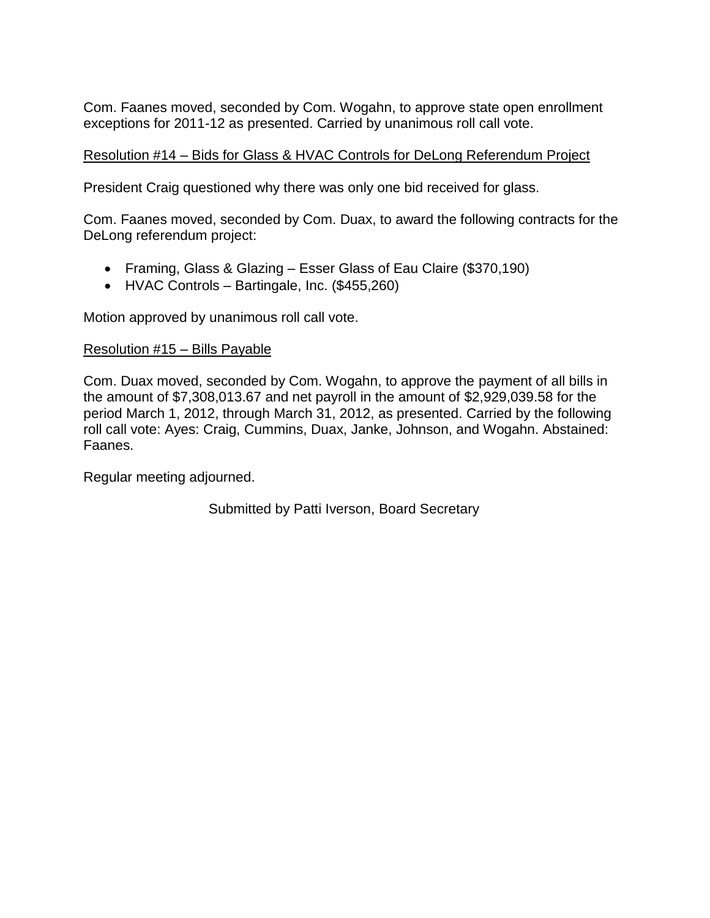Com. Faanes moved, seconded by Com. Wogahn, to approve state open enrollment exceptions for 2011-12 as presented. Carried by unanimous roll call vote.

## Resolution #14 – Bids for Glass & HVAC Controls for DeLong Referendum Project

President Craig questioned why there was only one bid received for glass.

Com. Faanes moved, seconded by Com. Duax, to award the following contracts for the DeLong referendum project:

- Framing, Glass & Glazing Esser Glass of Eau Claire (\$370,190)
- HVAC Controls Bartingale, Inc. (\$455,260)

Motion approved by unanimous roll call vote.

#### Resolution #15 – Bills Payable

Com. Duax moved, seconded by Com. Wogahn, to approve the payment of all bills in the amount of \$7,308,013.67 and net payroll in the amount of \$2,929,039.58 for the period March 1, 2012, through March 31, 2012, as presented. Carried by the following roll call vote: Ayes: Craig, Cummins, Duax, Janke, Johnson, and Wogahn. Abstained: Faanes.

Regular meeting adjourned.

Submitted by Patti Iverson, Board Secretary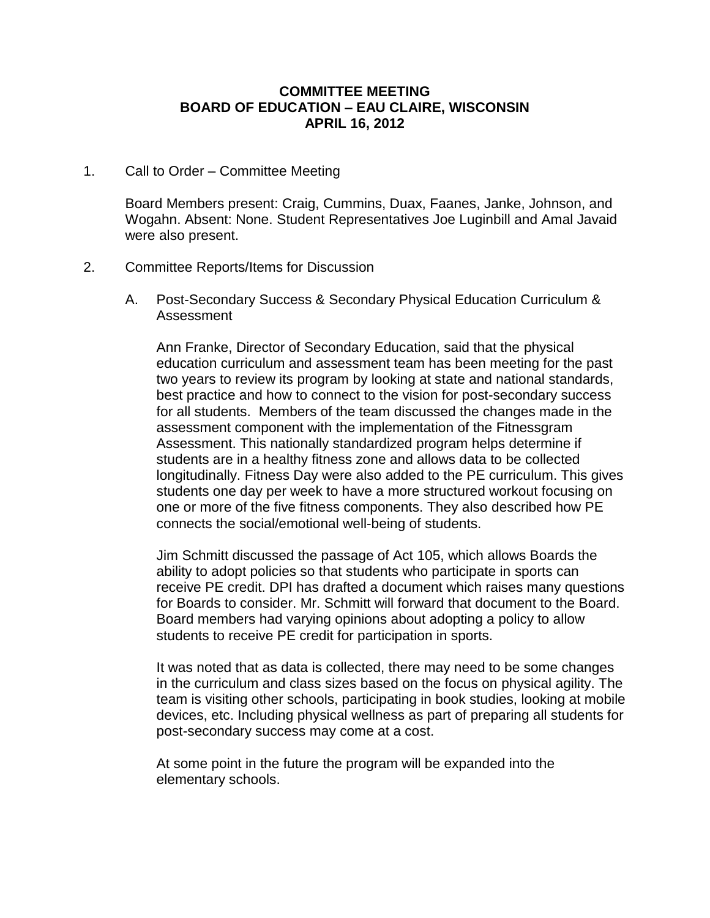#### **COMMITTEE MEETING BOARD OF EDUCATION – EAU CLAIRE, WISCONSIN APRIL 16, 2012**

#### 1. Call to Order – Committee Meeting

Board Members present: Craig, Cummins, Duax, Faanes, Janke, Johnson, and Wogahn. Absent: None. Student Representatives Joe Luginbill and Amal Javaid were also present.

#### 2. Committee Reports/Items for Discussion

A. Post-Secondary Success & Secondary Physical Education Curriculum & Assessment

Ann Franke, Director of Secondary Education, said that the physical education curriculum and assessment team has been meeting for the past two years to review its program by looking at state and national standards, best practice and how to connect to the vision for post-secondary success for all students. Members of the team discussed the changes made in the assessment component with the implementation of the Fitnessgram Assessment. This nationally standardized program helps determine if students are in a healthy fitness zone and allows data to be collected longitudinally. Fitness Day were also added to the PE curriculum. This gives students one day per week to have a more structured workout focusing on one or more of the five fitness components. They also described how PE connects the social/emotional well-being of students.

Jim Schmitt discussed the passage of Act 105, which allows Boards the ability to adopt policies so that students who participate in sports can receive PE credit. DPI has drafted a document which raises many questions for Boards to consider. Mr. Schmitt will forward that document to the Board. Board members had varying opinions about adopting a policy to allow students to receive PE credit for participation in sports.

It was noted that as data is collected, there may need to be some changes in the curriculum and class sizes based on the focus on physical agility. The team is visiting other schools, participating in book studies, looking at mobile devices, etc. Including physical wellness as part of preparing all students for post-secondary success may come at a cost.

At some point in the future the program will be expanded into the elementary schools.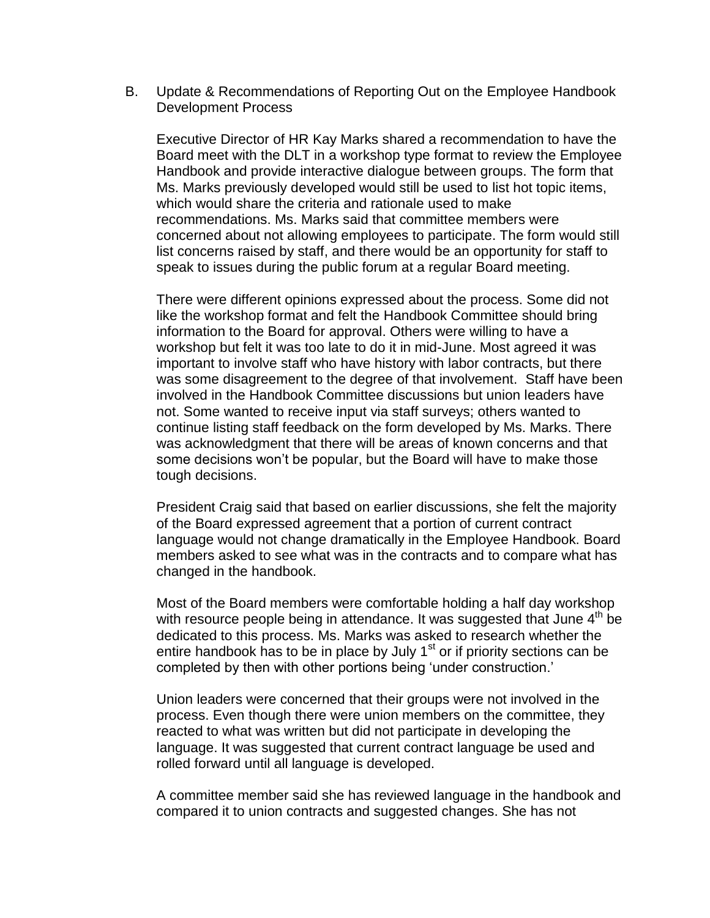B. Update & Recommendations of Reporting Out on the Employee Handbook Development Process

Executive Director of HR Kay Marks shared a recommendation to have the Board meet with the DLT in a workshop type format to review the Employee Handbook and provide interactive dialogue between groups. The form that Ms. Marks previously developed would still be used to list hot topic items, which would share the criteria and rationale used to make recommendations. Ms. Marks said that committee members were concerned about not allowing employees to participate. The form would still list concerns raised by staff, and there would be an opportunity for staff to speak to issues during the public forum at a regular Board meeting.

There were different opinions expressed about the process. Some did not like the workshop format and felt the Handbook Committee should bring information to the Board for approval. Others were willing to have a workshop but felt it was too late to do it in mid-June. Most agreed it was important to involve staff who have history with labor contracts, but there was some disagreement to the degree of that involvement. Staff have been involved in the Handbook Committee discussions but union leaders have not. Some wanted to receive input via staff surveys; others wanted to continue listing staff feedback on the form developed by Ms. Marks. There was acknowledgment that there will be areas of known concerns and that some decisions won't be popular, but the Board will have to make those tough decisions.

President Craig said that based on earlier discussions, she felt the majority of the Board expressed agreement that a portion of current contract language would not change dramatically in the Employee Handbook. Board members asked to see what was in the contracts and to compare what has changed in the handbook.

Most of the Board members were comfortable holding a half day workshop with resource people being in attendance. It was suggested that June  $4<sup>th</sup>$  be dedicated to this process. Ms. Marks was asked to research whether the entire handbook has to be in place by July  $1<sup>st</sup>$  or if priority sections can be completed by then with other portions being 'under construction.'

Union leaders were concerned that their groups were not involved in the process. Even though there were union members on the committee, they reacted to what was written but did not participate in developing the language. It was suggested that current contract language be used and rolled forward until all language is developed.

A committee member said she has reviewed language in the handbook and compared it to union contracts and suggested changes. She has not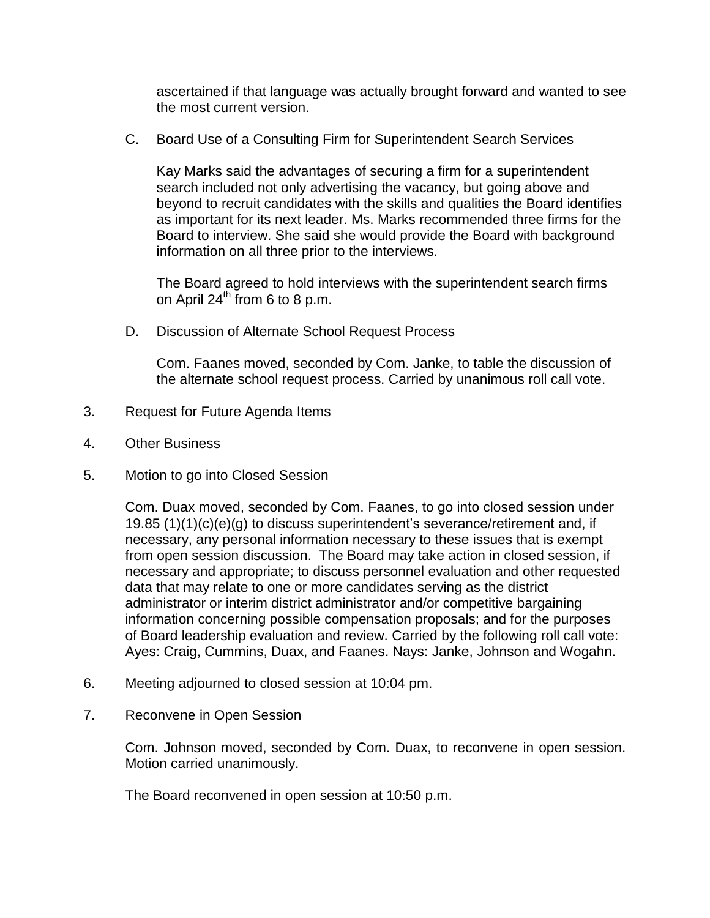ascertained if that language was actually brought forward and wanted to see the most current version.

C. Board Use of a Consulting Firm for Superintendent Search Services

Kay Marks said the advantages of securing a firm for a superintendent search included not only advertising the vacancy, but going above and beyond to recruit candidates with the skills and qualities the Board identifies as important for its next leader. Ms. Marks recommended three firms for the Board to interview. She said she would provide the Board with background information on all three prior to the interviews.

The Board agreed to hold interviews with the superintendent search firms on April  $24^{th}$  from 6 to 8 p.m.

D. Discussion of Alternate School Request Process

Com. Faanes moved, seconded by Com. Janke, to table the discussion of the alternate school request process. Carried by unanimous roll call vote.

- 3. Request for Future Agenda Items
- 4. Other Business
- 5. Motion to go into Closed Session

Com. Duax moved, seconded by Com. Faanes, to go into closed session under 19.85 (1)(1)(c)(e)(g) to discuss superintendent's severance/retirement and, if necessary, any personal information necessary to these issues that is exempt from open session discussion. The Board may take action in closed session, if necessary and appropriate; to discuss personnel evaluation and other requested data that may relate to one or more candidates serving as the district administrator or interim district administrator and/or competitive bargaining information concerning possible compensation proposals; and for the purposes of Board leadership evaluation and review. Carried by the following roll call vote: Ayes: Craig, Cummins, Duax, and Faanes. Nays: Janke, Johnson and Wogahn.

- 6. Meeting adjourned to closed session at 10:04 pm.
- 7. Reconvene in Open Session

Com. Johnson moved, seconded by Com. Duax, to reconvene in open session. Motion carried unanimously.

The Board reconvened in open session at 10:50 p.m.